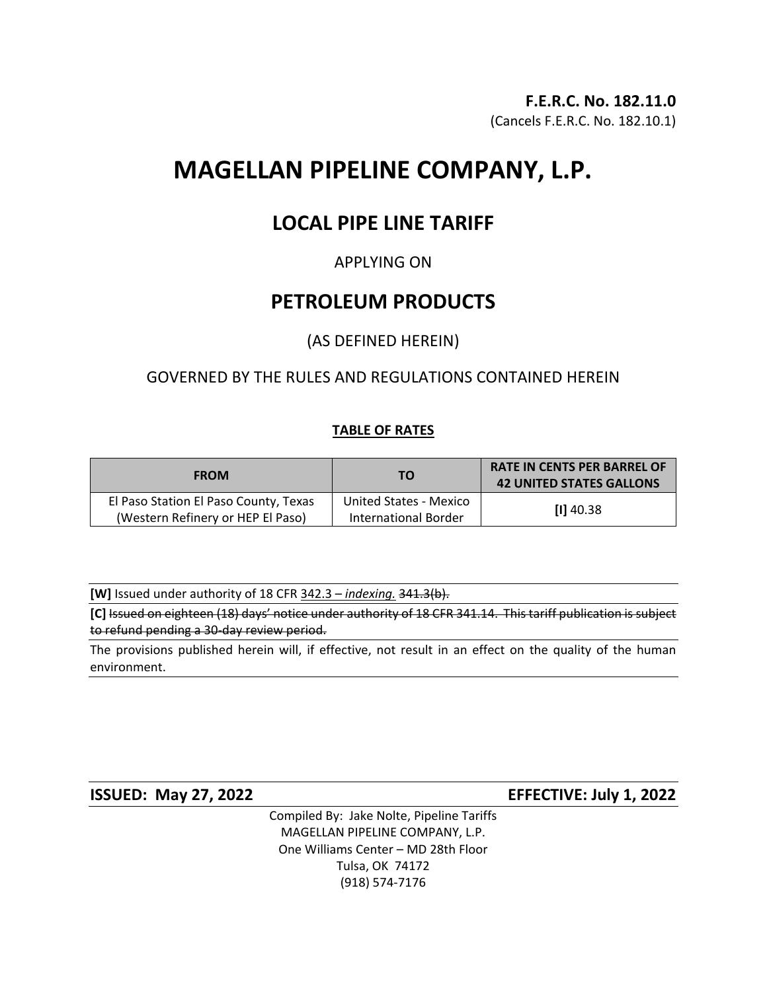# **MAGELLAN PIPELINE COMPANY, L.P.**

## **LOCAL PIPE LINE TARIFF**

## APPLYING ON

## **PETROLEUM PRODUCTS**

## (AS DEFINED HEREIN)

## GOVERNED BY THE RULES AND REGULATIONS CONTAINED HEREIN

### **TABLE OF RATES**

| <b>FROM</b>                                                                | <b>TO</b>                                             | <b>RATE IN CENTS PER BARREL OF</b><br><b>42 UNITED STATES GALLONS</b> |
|----------------------------------------------------------------------------|-------------------------------------------------------|-----------------------------------------------------------------------|
| El Paso Station El Paso County, Texas<br>(Western Refinery or HEP El Paso) | United States - Mexico<br><b>International Border</b> | $[1]$ 40.38                                                           |

**[W]** Issued under authority of 18 CFR 342.3 – *indexing.* 341.3(b).

**[C]** Issued on eighteen (18) days' notice under authority of 18 CFR 341.14. This tariff publication is subject to refund pending a 30-day review period.

The provisions published herein will, if effective, not result in an effect on the quality of the human environment.

**ISSUED: May 27, 2022 EFFECTIVE: July 1, 2022**

Compiled By: Jake Nolte, Pipeline Tariffs MAGELLAN PIPELINE COMPANY, L.P. One Williams Center – MD 28th Floor Tulsa, OK 74172 (918) 574-7176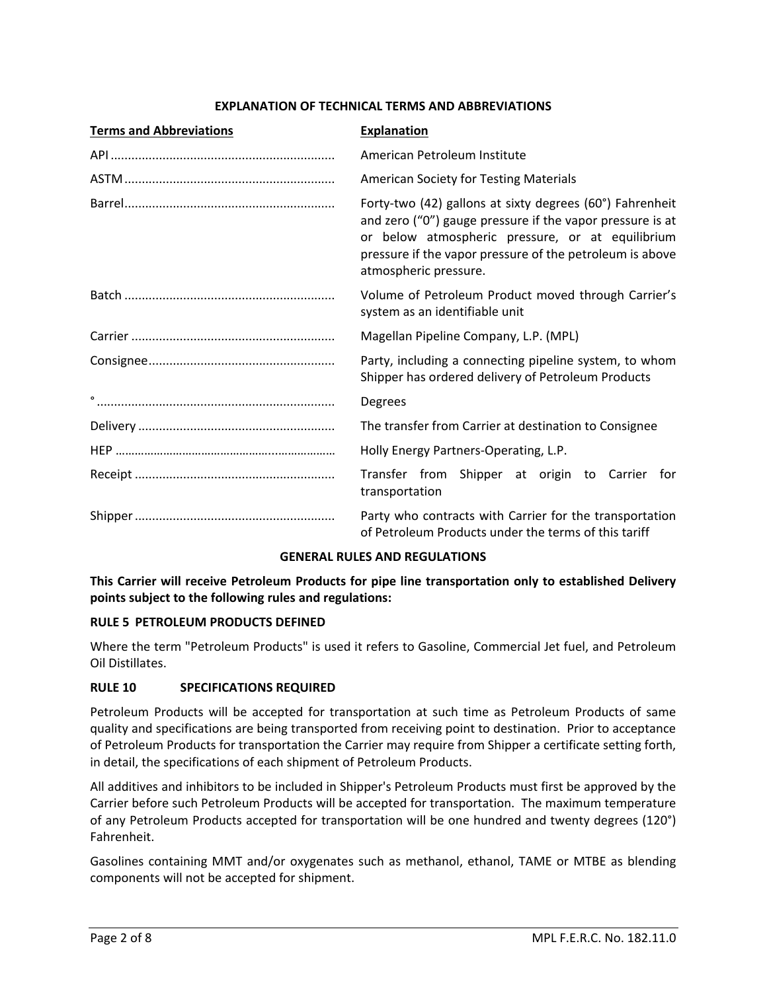#### **EXPLANATION OF TECHNICAL TERMS AND ABBREVIATIONS**

| <b>Terms and Abbreviations</b> | <b>Explanation</b>                                                                                                                                                                                                                                             |  |
|--------------------------------|----------------------------------------------------------------------------------------------------------------------------------------------------------------------------------------------------------------------------------------------------------------|--|
|                                | American Petroleum Institute                                                                                                                                                                                                                                   |  |
|                                | <b>American Society for Testing Materials</b>                                                                                                                                                                                                                  |  |
|                                | Forty-two (42) gallons at sixty degrees (60°) Fahrenheit<br>and zero ("0") gauge pressure if the vapor pressure is at<br>or below atmospheric pressure, or at equilibrium<br>pressure if the vapor pressure of the petroleum is above<br>atmospheric pressure. |  |
|                                | Volume of Petroleum Product moved through Carrier's<br>system as an identifiable unit                                                                                                                                                                          |  |
|                                | Magellan Pipeline Company, L.P. (MPL)                                                                                                                                                                                                                          |  |
|                                | Party, including a connecting pipeline system, to whom<br>Shipper has ordered delivery of Petroleum Products                                                                                                                                                   |  |
|                                | Degrees                                                                                                                                                                                                                                                        |  |
|                                | The transfer from Carrier at destination to Consignee                                                                                                                                                                                                          |  |
|                                | Holly Energy Partners-Operating, L.P.                                                                                                                                                                                                                          |  |
|                                | Transfer from Shipper at origin to Carrier for<br>transportation                                                                                                                                                                                               |  |
|                                | Party who contracts with Carrier for the transportation<br>of Petroleum Products under the terms of this tariff                                                                                                                                                |  |

#### **GENERAL RULES AND REGULATIONS**

**This Carrier will receive Petroleum Products for pipe line transportation only to established Delivery points subject to the following rules and regulations:**

#### **RULE 5 PETROLEUM PRODUCTS DEFINED**

Where the term "Petroleum Products" is used it refers to Gasoline, Commercial Jet fuel, and Petroleum Oil Distillates.

#### **RULE 10 SPECIFICATIONS REQUIRED**

Petroleum Products will be accepted for transportation at such time as Petroleum Products of same quality and specifications are being transported from receiving point to destination. Prior to acceptance of Petroleum Products for transportation the Carrier may require from Shipper a certificate setting forth, in detail, the specifications of each shipment of Petroleum Products.

All additives and inhibitors to be included in Shipper's Petroleum Products must first be approved by the Carrier before such Petroleum Products will be accepted for transportation. The maximum temperature of any Petroleum Products accepted for transportation will be one hundred and twenty degrees (120°) Fahrenheit.

Gasolines containing MMT and/or oxygenates such as methanol, ethanol, TAME or MTBE as blending components will not be accepted for shipment.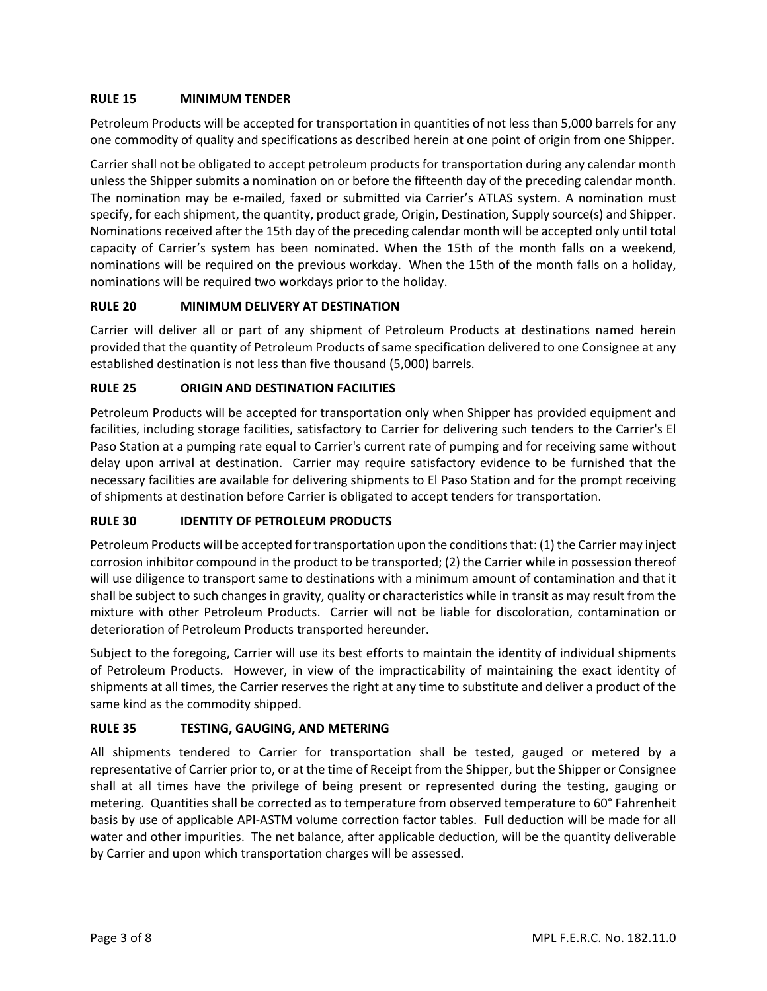#### **RULE 15 MINIMUM TENDER**

Petroleum Products will be accepted for transportation in quantities of not less than 5,000 barrels for any one commodity of quality and specifications as described herein at one point of origin from one Shipper.

Carrier shall not be obligated to accept petroleum products for transportation during any calendar month unless the Shipper submits a nomination on or before the fifteenth day of the preceding calendar month. The nomination may be e-mailed, faxed or submitted via Carrier's ATLAS system. A nomination must specify, for each shipment, the quantity, product grade, Origin, Destination, Supply source(s) and Shipper. Nominations received after the 15th day of the preceding calendar month will be accepted only until total capacity of Carrier's system has been nominated. When the 15th of the month falls on a weekend, nominations will be required on the previous workday. When the 15th of the month falls on a holiday, nominations will be required two workdays prior to the holiday.

#### **RULE 20 MINIMUM DELIVERY AT DESTINATION**

Carrier will deliver all or part of any shipment of Petroleum Products at destinations named herein provided that the quantity of Petroleum Products of same specification delivered to one Consignee at any established destination is not less than five thousand (5,000) barrels.

#### **RULE 25 ORIGIN AND DESTINATION FACILITIES**

Petroleum Products will be accepted for transportation only when Shipper has provided equipment and facilities, including storage facilities, satisfactory to Carrier for delivering such tenders to the Carrier's El Paso Station at a pumping rate equal to Carrier's current rate of pumping and for receiving same without delay upon arrival at destination. Carrier may require satisfactory evidence to be furnished that the necessary facilities are available for delivering shipments to El Paso Station and for the prompt receiving of shipments at destination before Carrier is obligated to accept tenders for transportation.

#### **RULE 30 IDENTITY OF PETROLEUM PRODUCTS**

Petroleum Products will be accepted for transportation upon the conditions that: (1) the Carrier may inject corrosion inhibitor compound in the product to be transported; (2) the Carrier while in possession thereof will use diligence to transport same to destinations with a minimum amount of contamination and that it shall be subject to such changes in gravity, quality or characteristics while in transit as may result from the mixture with other Petroleum Products. Carrier will not be liable for discoloration, contamination or deterioration of Petroleum Products transported hereunder.

Subject to the foregoing, Carrier will use its best efforts to maintain the identity of individual shipments of Petroleum Products. However, in view of the impracticability of maintaining the exact identity of shipments at all times, the Carrier reserves the right at any time to substitute and deliver a product of the same kind as the commodity shipped.

#### **RULE 35 TESTING, GAUGING, AND METERING**

All shipments tendered to Carrier for transportation shall be tested, gauged or metered by a representative of Carrier prior to, or at the time of Receipt from the Shipper, but the Shipper or Consignee shall at all times have the privilege of being present or represented during the testing, gauging or metering. Quantities shall be corrected as to temperature from observed temperature to 60° Fahrenheit basis by use of applicable API-ASTM volume correction factor tables. Full deduction will be made for all water and other impurities. The net balance, after applicable deduction, will be the quantity deliverable by Carrier and upon which transportation charges will be assessed.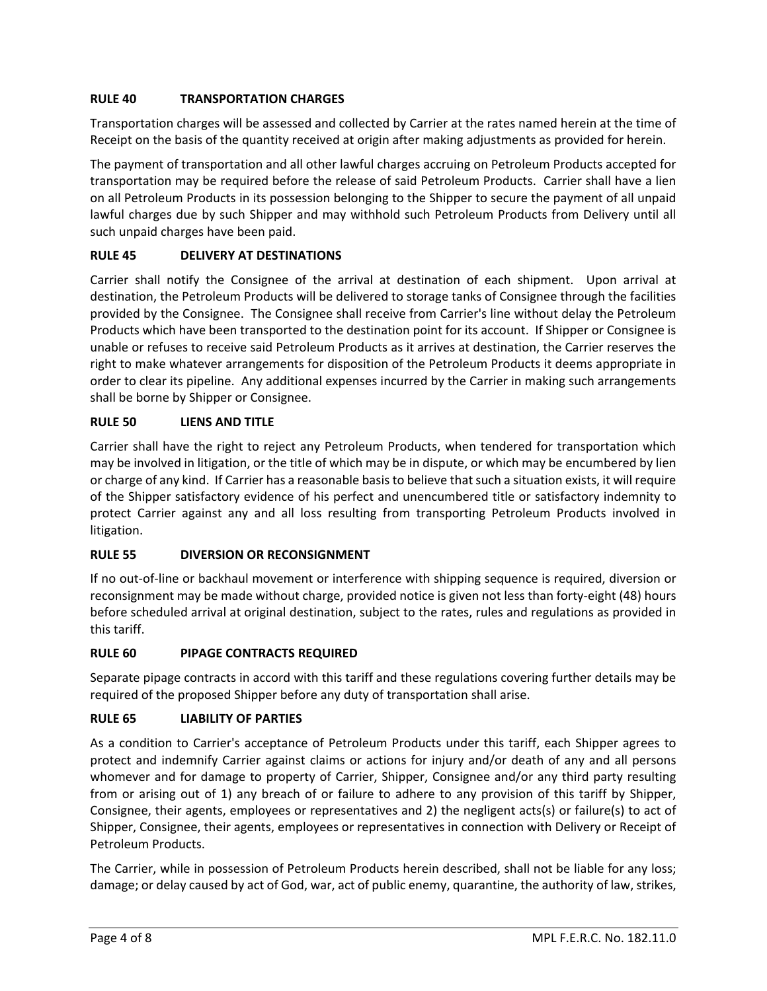#### **RULE 40 TRANSPORTATION CHARGES**

Transportation charges will be assessed and collected by Carrier at the rates named herein at the time of Receipt on the basis of the quantity received at origin after making adjustments as provided for herein.

The payment of transportation and all other lawful charges accruing on Petroleum Products accepted for transportation may be required before the release of said Petroleum Products. Carrier shall have a lien on all Petroleum Products in its possession belonging to the Shipper to secure the payment of all unpaid lawful charges due by such Shipper and may withhold such Petroleum Products from Delivery until all such unpaid charges have been paid.

#### **RULE 45 DELIVERY AT DESTINATIONS**

Carrier shall notify the Consignee of the arrival at destination of each shipment. Upon arrival at destination, the Petroleum Products will be delivered to storage tanks of Consignee through the facilities provided by the Consignee. The Consignee shall receive from Carrier's line without delay the Petroleum Products which have been transported to the destination point for its account. If Shipper or Consignee is unable or refuses to receive said Petroleum Products as it arrives at destination, the Carrier reserves the right to make whatever arrangements for disposition of the Petroleum Products it deems appropriate in order to clear its pipeline. Any additional expenses incurred by the Carrier in making such arrangements shall be borne by Shipper or Consignee.

#### **RULE 50 LIENS AND TITLE**

Carrier shall have the right to reject any Petroleum Products, when tendered for transportation which may be involved in litigation, or the title of which may be in dispute, or which may be encumbered by lien or charge of any kind. If Carrier has a reasonable basis to believe that such a situation exists, it will require of the Shipper satisfactory evidence of his perfect and unencumbered title or satisfactory indemnity to protect Carrier against any and all loss resulting from transporting Petroleum Products involved in litigation.

#### **RULE 55 DIVERSION OR RECONSIGNMENT**

If no out-of-line or backhaul movement or interference with shipping sequence is required, diversion or reconsignment may be made without charge, provided notice is given not less than forty-eight (48) hours before scheduled arrival at original destination, subject to the rates, rules and regulations as provided in this tariff.

#### **RULE 60 PIPAGE CONTRACTS REQUIRED**

Separate pipage contracts in accord with this tariff and these regulations covering further details may be required of the proposed Shipper before any duty of transportation shall arise.

#### **RULE 65 LIABILITY OF PARTIES**

As a condition to Carrier's acceptance of Petroleum Products under this tariff, each Shipper agrees to protect and indemnify Carrier against claims or actions for injury and/or death of any and all persons whomever and for damage to property of Carrier, Shipper, Consignee and/or any third party resulting from or arising out of 1) any breach of or failure to adhere to any provision of this tariff by Shipper, Consignee, their agents, employees or representatives and 2) the negligent acts(s) or failure(s) to act of Shipper, Consignee, their agents, employees or representatives in connection with Delivery or Receipt of Petroleum Products.

The Carrier, while in possession of Petroleum Products herein described, shall not be liable for any loss; damage; or delay caused by act of God, war, act of public enemy, quarantine, the authority of law, strikes,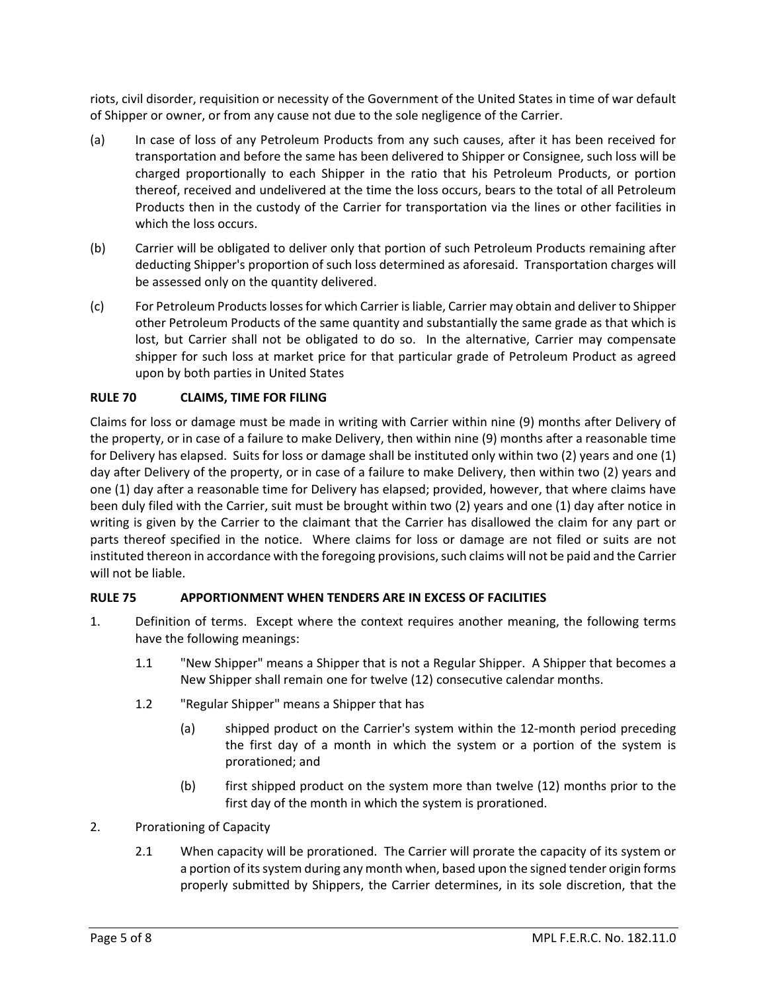riots, civil disorder, requisition or necessity of the Government of the United States in time of war default of Shipper or owner, or from any cause not due to the sole negligence of the Carrier.

- (a) In case of loss of any Petroleum Products from any such causes, after it has been received for transportation and before the same has been delivered to Shipper or Consignee, such loss will be charged proportionally to each Shipper in the ratio that his Petroleum Products, or portion thereof, received and undelivered at the time the loss occurs, bears to the total of all Petroleum Products then in the custody of the Carrier for transportation via the lines or other facilities in which the loss occurs.
- (b) Carrier will be obligated to deliver only that portion of such Petroleum Products remaining after deducting Shipper's proportion of such loss determined as aforesaid. Transportation charges will be assessed only on the quantity delivered.
- (c) For Petroleum Products losses for which Carrier is liable, Carrier may obtain and deliver to Shipper other Petroleum Products of the same quantity and substantially the same grade as that which is lost, but Carrier shall not be obligated to do so. In the alternative, Carrier may compensate shipper for such loss at market price for that particular grade of Petroleum Product as agreed upon by both parties in United States

#### **RULE 70 CLAIMS, TIME FOR FILING**

Claims for loss or damage must be made in writing with Carrier within nine (9) months after Delivery of the property, or in case of a failure to make Delivery, then within nine (9) months after a reasonable time for Delivery has elapsed. Suits for loss or damage shall be instituted only within two (2) years and one (1) day after Delivery of the property, or in case of a failure to make Delivery, then within two (2) years and one (1) day after a reasonable time for Delivery has elapsed; provided, however, that where claims have been duly filed with the Carrier, suit must be brought within two (2) years and one (1) day after notice in writing is given by the Carrier to the claimant that the Carrier has disallowed the claim for any part or parts thereof specified in the notice. Where claims for loss or damage are not filed or suits are not instituted thereon in accordance with the foregoing provisions, such claims will not be paid and the Carrier will not be liable.

#### **RULE 75 APPORTIONMENT WHEN TENDERS ARE IN EXCESS OF FACILITIES**

- 1. Definition of terms. Except where the context requires another meaning, the following terms have the following meanings:
	- 1.1 "New Shipper" means a Shipper that is not a Regular Shipper. A Shipper that becomes a New Shipper shall remain one for twelve (12) consecutive calendar months.
	- 1.2 "Regular Shipper" means a Shipper that has
		- (a) shipped product on the Carrier's system within the 12-month period preceding the first day of a month in which the system or a portion of the system is prorationed; and
		- (b) first shipped product on the system more than twelve (12) months prior to the first day of the month in which the system is prorationed.
- 2. Prorationing of Capacity
	- 2.1 When capacity will be prorationed. The Carrier will prorate the capacity of its system or a portion of its system during any month when, based upon the signed tender origin forms properly submitted by Shippers, the Carrier determines, in its sole discretion, that the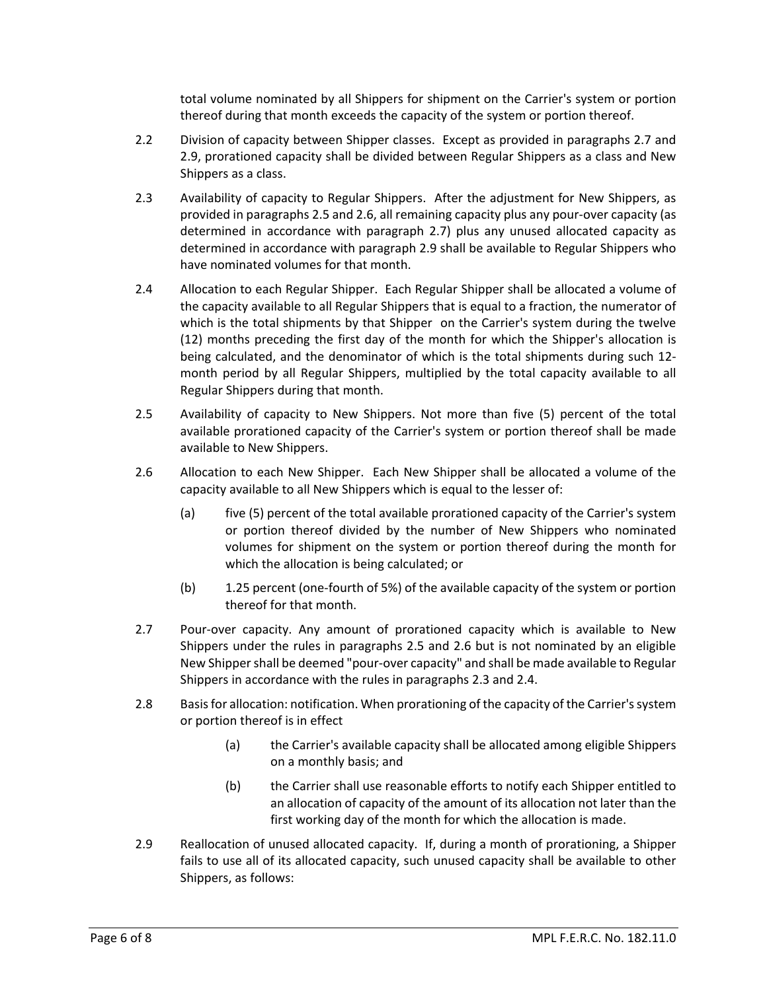total volume nominated by all Shippers for shipment on the Carrier's system or portion thereof during that month exceeds the capacity of the system or portion thereof.

- 2.2 Division of capacity between Shipper classes. Except as provided in paragraphs 2.7 and 2.9, prorationed capacity shall be divided between Regular Shippers as a class and New Shippers as a class.
- 2.3 Availability of capacity to Regular Shippers. After the adjustment for New Shippers, as provided in paragraphs 2.5 and 2.6, all remaining capacity plus any pour-over capacity (as determined in accordance with paragraph 2.7) plus any unused allocated capacity as determined in accordance with paragraph 2.9 shall be available to Regular Shippers who have nominated volumes for that month.
- 2.4 Allocation to each Regular Shipper. Each Regular Shipper shall be allocated a volume of the capacity available to all Regular Shippers that is equal to a fraction, the numerator of which is the total shipments by that Shipper on the Carrier's system during the twelve (12) months preceding the first day of the month for which the Shipper's allocation is being calculated, and the denominator of which is the total shipments during such 12 month period by all Regular Shippers, multiplied by the total capacity available to all Regular Shippers during that month.
- 2.5 Availability of capacity to New Shippers. Not more than five (5) percent of the total available prorationed capacity of the Carrier's system or portion thereof shall be made available to New Shippers.
- 2.6 Allocation to each New Shipper. Each New Shipper shall be allocated a volume of the capacity available to all New Shippers which is equal to the lesser of:
	- (a) five (5) percent of the total available prorationed capacity of the Carrier's system or portion thereof divided by the number of New Shippers who nominated volumes for shipment on the system or portion thereof during the month for which the allocation is being calculated; or
	- (b) 1.25 percent (one-fourth of 5%) of the available capacity of the system or portion thereof for that month.
- 2.7 Pour-over capacity. Any amount of prorationed capacity which is available to New Shippers under the rules in paragraphs 2.5 and 2.6 but is not nominated by an eligible New Shipper shall be deemed "pour-over capacity" and shall be made available to Regular Shippers in accordance with the rules in paragraphs 2.3 and 2.4.
- 2.8 Basis for allocation: notification. When prorationing of the capacity of the Carrier's system or portion thereof is in effect
	- (a) the Carrier's available capacity shall be allocated among eligible Shippers on a monthly basis; and
	- (b) the Carrier shall use reasonable efforts to notify each Shipper entitled to an allocation of capacity of the amount of its allocation not later than the first working day of the month for which the allocation is made.
- 2.9 Reallocation of unused allocated capacity. If, during a month of prorationing, a Shipper fails to use all of its allocated capacity, such unused capacity shall be available to other Shippers, as follows: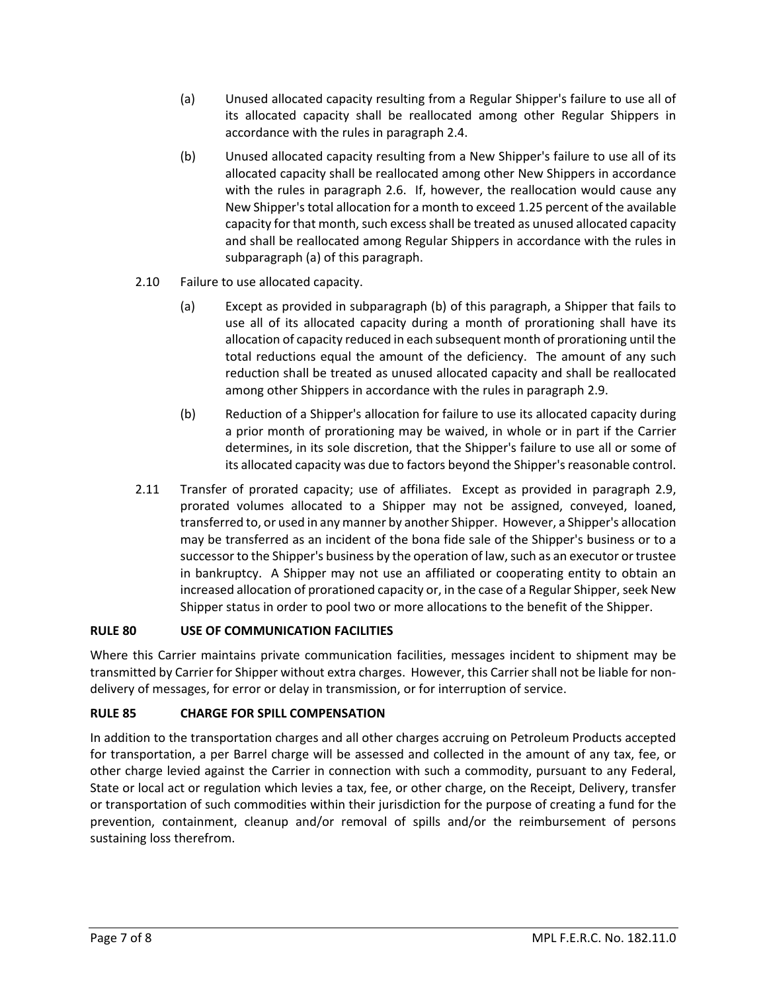- (a) Unused allocated capacity resulting from a Regular Shipper's failure to use all of its allocated capacity shall be reallocated among other Regular Shippers in accordance with the rules in paragraph 2.4.
- (b) Unused allocated capacity resulting from a New Shipper's failure to use all of its allocated capacity shall be reallocated among other New Shippers in accordance with the rules in paragraph 2.6. If, however, the reallocation would cause any New Shipper's total allocation for a month to exceed 1.25 percent of the available capacity for that month, such excess shall be treated as unused allocated capacity and shall be reallocated among Regular Shippers in accordance with the rules in subparagraph (a) of this paragraph.
- 2.10 Failure to use allocated capacity.
	- (a) Except as provided in subparagraph (b) of this paragraph, a Shipper that fails to use all of its allocated capacity during a month of prorationing shall have its allocation of capacity reduced in each subsequent month of prorationing until the total reductions equal the amount of the deficiency. The amount of any such reduction shall be treated as unused allocated capacity and shall be reallocated among other Shippers in accordance with the rules in paragraph 2.9.
	- (b) Reduction of a Shipper's allocation for failure to use its allocated capacity during a prior month of prorationing may be waived, in whole or in part if the Carrier determines, in its sole discretion, that the Shipper's failure to use all or some of its allocated capacity was due to factors beyond the Shipper's reasonable control.
- 2.11 Transfer of prorated capacity; use of affiliates. Except as provided in paragraph 2.9, prorated volumes allocated to a Shipper may not be assigned, conveyed, loaned, transferred to, or used in any manner by another Shipper. However, a Shipper's allocation may be transferred as an incident of the bona fide sale of the Shipper's business or to a successor to the Shipper's business by the operation of law, such as an executor or trustee in bankruptcy. A Shipper may not use an affiliated or cooperating entity to obtain an increased allocation of prorationed capacity or, in the case of a Regular Shipper, seek New Shipper status in order to pool two or more allocations to the benefit of the Shipper.

#### **RULE 80 USE OF COMMUNICATION FACILITIES**

Where this Carrier maintains private communication facilities, messages incident to shipment may be transmitted by Carrier for Shipper without extra charges. However, this Carrier shall not be liable for nondelivery of messages, for error or delay in transmission, or for interruption of service.

#### **RULE 85 CHARGE FOR SPILL COMPENSATION**

In addition to the transportation charges and all other charges accruing on Petroleum Products accepted for transportation, a per Barrel charge will be assessed and collected in the amount of any tax, fee, or other charge levied against the Carrier in connection with such a commodity, pursuant to any Federal, State or local act or regulation which levies a tax, fee, or other charge, on the Receipt, Delivery, transfer or transportation of such commodities within their jurisdiction for the purpose of creating a fund for the prevention, containment, cleanup and/or removal of spills and/or the reimbursement of persons sustaining loss therefrom.